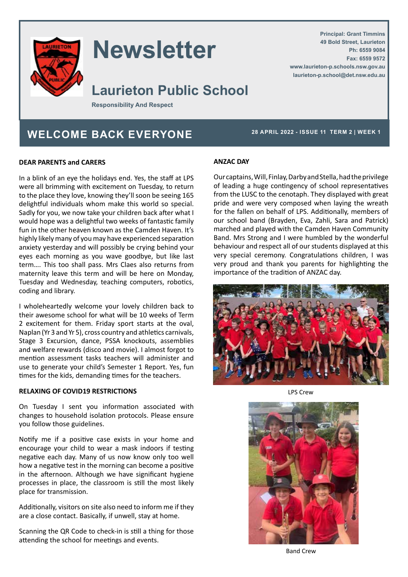

# **Newsletter**

### **Laurieton Public School**

**Responsibility And Respect**

### WELCOME BACK EVERYONE<sup>28 APRIL 2022 - ISSUE 11 TERM 2 | WEEK 1</sup>

**Principal: Grant Timmins 49 Bold Street, Laurieton**

**www.laurieton-p.schools.nsw.gov.au laurieton-p.school@det.nsw.edu.au**

**Ph: 6559 9084 Fax: 6559 9572**

#### **DEAR PARENTS and CARERS**

In a blink of an eye the holidays end. Yes, the staff at LPS were all brimming with excitement on Tuesday, to return to the place they love, knowing they'll soon be seeing 165 delightful individuals whom make this world so special. Sadly for you, we now take your children back after what I would hope was a delightful two weeks of fantastic family fun in the other heaven known as the Camden Haven. It's highly likely many of you may have experienced separation anxiety yesterday and will possibly be crying behind your eyes each morning as you wave goodbye, but like last term…. This too shall pass. Mrs Claes also returns from maternity leave this term and will be here on Monday, Tuesday and Wednesday, teaching computers, robotics, coding and library.

I wholeheartedly welcome your lovely children back to their awesome school for what will be 10 weeks of Term 2 excitement for them. Friday sport starts at the oval, Naplan (Yr 3 and Yr 5), cross country and athletics carnivals, Stage 3 Excursion, dance, PSSA knockouts, assemblies and welfare rewards (disco and movie). I almost forgot to mention assessment tasks teachers will administer and use to generate your child's Semester 1 Report. Yes, fun times for the kids, demanding times for the teachers.

#### **RELAXING OF COVID19 RESTRICTIONS**

On Tuesday I sent you information associated with changes to household isolation protocols. Please ensure you follow those guidelines.

Notify me if a positive case exists in your home and encourage your child to wear a mask indoors if testing negative each day. Many of us now know only too well how a negative test in the morning can become a positive in the afternoon. Although we have significant hygiene processes in place, the classroom is still the most likely place for transmission.

Additionally, visitors on site also need to inform me if they are a close contact. Basically, if unwell, stay at home.

Scanning the QR Code to check-in is still a thing for those attending the school for meetings and events.

#### **ANZAC DAY**

Our captains, Will, Finlay, Darby and Stella, had the privilege of leading a huge contingency of school representatives from the LUSC to the cenotaph. They displayed with great pride and were very composed when laying the wreath for the fallen on behalf of LPS. Additionally, members of our school band (Brayden, Eva, Zahli, Sara and Patrick) marched and played with the Camden Haven Community Band. Mrs Strong and I were humbled by the wonderful behaviour and respect all of our students displayed at this very special ceremony. Congratulations children, I was very proud and thank you parents for highlighting the importance of the tradition of ANZAC day.



LPS Crew



Band Crew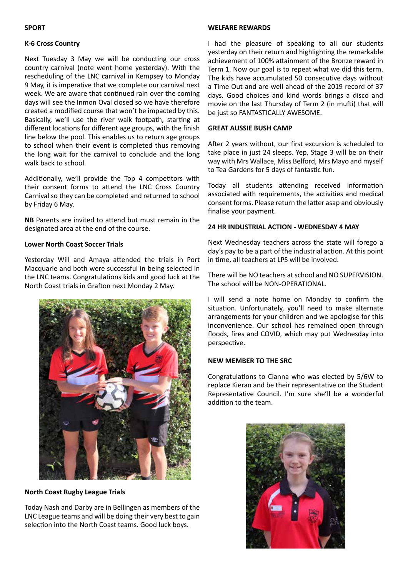#### **SPORT**

#### **K-6 Cross Country**

Next Tuesday 3 May we will be conducting our cross country carnival (note went home yesterday). With the rescheduling of the LNC carnival in Kempsey to Monday 9 May, it is imperative that we complete our carnival next week. We are aware that continued rain over the coming days will see the Inmon Oval closed so we have therefore created a modified course that won't be impacted by this. Basically, we'll use the river walk footpath, starting at different locations for different age groups, with the finish line below the pool. This enables us to return age groups to school when their event is completed thus removing the long wait for the carnival to conclude and the long walk back to school.

Additionally, we'll provide the Top 4 competitors with their consent forms to attend the LNC Cross Country Carnival so they can be completed and returned to school by Friday 6 May.

**NB** Parents are invited to attend but must remain in the designated area at the end of the course.

#### **Lower North Coast Soccer Trials**

Yesterday Will and Amaya attended the trials in Port Macquarie and both were successful in being selected in the LNC teams. Congratulations kids and good luck at the North Coast trials in Grafton next Monday 2 May.



**North Coast Rugby League Trials**

Today Nash and Darby are in Bellingen as members of the LNC League teams and will be doing their very best to gain selection into the North Coast teams. Good luck boys.

#### **WELFARE REWARDS**

I had the pleasure of speaking to all our students yesterday on their return and highlighting the remarkable achievement of 100% attainment of the Bronze reward in Term 1. Now our goal is to repeat what we did this term. The kids have accumulated 50 consecutive days without a Time Out and are well ahead of the 2019 record of 37 days. Good choices and kind words brings a disco and movie on the last Thursday of Term 2 (in mufti) that will be just so FANTASTICALLY AWESOME.

#### **GREAT AUSSIE BUSH CAMP**

After 2 years without, our first excursion is scheduled to take place in just 24 sleeps. Yep, Stage 3 will be on their way with Mrs Wallace, Miss Belford, Mrs Mayo and myself to Tea Gardens for 5 days of fantastic fun.

Today all students attending received information associated with requirements, the activities and medical consent forms. Please return the latter asap and obviously finalise your payment.

#### **24 HR INDUSTRIAL ACTION - WEDNESDAY 4 MAY**

Next Wednesday teachers across the state will forego a day's pay to be a part of the industrial action. At this point in time, all teachers at LPS will be involved.

There will be NO teachers at school and NO SUPERVISION. The school will be NON-OPERATIONAL.

I will send a note home on Monday to confirm the situation. Unfortunately, you'll need to make alternate arrangements for your children and we apologise for this inconvenience. Our school has remained open through floods, fires and COVID, which may put Wednesday into perspective.

#### **NEW MEMBER TO THE SRC**

Congratulations to Cianna who was elected by 5/6W to replace Kieran and be their representative on the Student Representative Council. I'm sure she'll be a wonderful addition to the team.